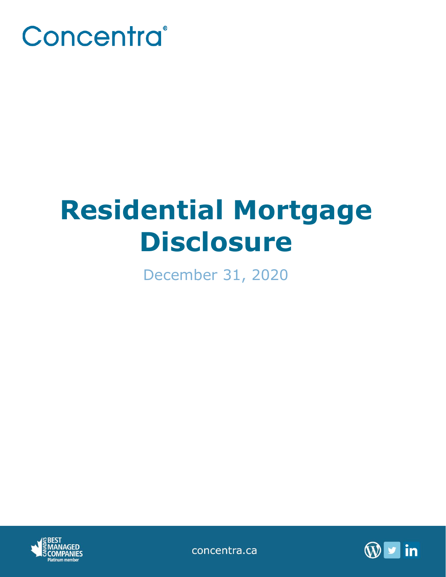

# **Residential Mortgage Disclosure**

December 31, 2020



concentra.ca

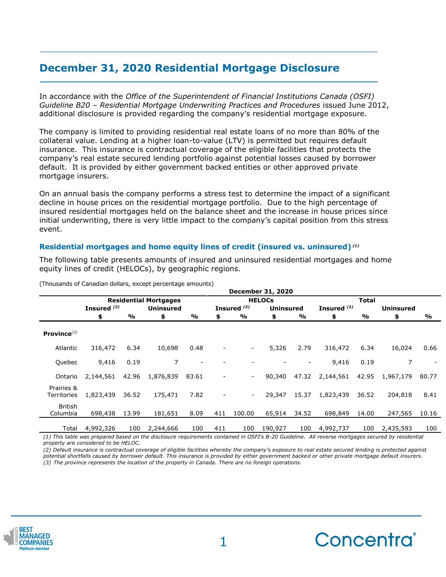# **December 31, 2020 Residential Mortgage Disclosure**

In accordance with the *Office of the Superintendent of Financial Institutions Canada (OSFI) Guideline B20 – Residential Mortgage Underwriting Practices and Procedures* issued June 2012, additional disclosure is provided regarding the company's residential mortgage exposure.

The company is limited to providing residential real estate loans of no more than 80% of the collateral value. Lending at a higher loan-to-value (LTV) is permitted but requires default insurance. This insurance is contractual coverage of the eligible facilities that protects the company's real estate secured lending portfolio against potential losses caused by borrower default. It is provided by either government backed entities or other approved private mortgage insurers.

On an annual basis the company performs a stress test to determine the impact of a significant decline in house prices on the residential mortgage portfolio. Due to the high percentage of insured residential mortgages held on the balance sheet and the increase in house prices since initial underwriting, there is very little impact to the company's capital position from this stress event.

## **Residential mortgages and home equity lines of credit (insured vs. uninsured)** *(1)*

The following table presents amounts of insured and uninsured residential mortgages and home equity lines of credit (HELOCs), by geographic regions.

|                            | <b>December 31, 2020</b>     |       |                  |       |               |                          |                  |               |               |       |                  |       |
|----------------------------|------------------------------|-------|------------------|-------|---------------|--------------------------|------------------|---------------|---------------|-------|------------------|-------|
|                            | <b>Residential Mortgages</b> |       |                  |       | <b>HELOCS</b> |                          |                  |               | <b>Total</b>  |       |                  |       |
|                            | Insured <sup>(2)</sup>       |       | <b>Uninsured</b> |       |               | Insured <sup>(2)</sup>   | <b>Uninsured</b> |               | Insured $(2)$ |       | <b>Uninsured</b> |       |
|                            | \$                           | %     | \$               | %     | \$            | %                        | \$               | $\frac{0}{0}$ | \$            | %     | \$               | %     |
| Province $(3)$             |                              |       |                  |       |               |                          |                  |               |               |       |                  |       |
| Atlantic                   | 316,472                      | 6.34  | 10,698           | 0.48  |               | $\blacksquare$           | 5,326            | 2.79          | 316,472       | 6.34  | 16,024           | 0.66  |
| Quebec                     | 9,416                        | 0.19  | 7                |       |               |                          |                  |               | 9,416         | 0.19  |                  |       |
| Ontario                    | 2,144,561                    | 42.96 | 1,876,839        | 83.61 |               | $\overline{\phantom{a}}$ | 90,340           | 47.32         | 2,144,561     | 42.95 | 1.967.179        | 80.77 |
| Prairies &<br>Territories  | 1,823,439                    | 36.52 | 175,471          | 7.82  |               | $\blacksquare$           | 29,347           | 15.37         | 1,823,439     | 36.52 | 204,818          | 8.41  |
| <b>British</b><br>Columbia | 698,438                      | 13.99 | 181,651          | 8.09  | 411           | 100.00                   | 65,914           | 34.52         | 698,849       | 14.00 | 247,565          | 10.16 |
| Total                      | 4,992,326                    | 100   | 2,244,666        | 100   | 411           | 100                      | 190,927          | 100           | 4,992,737     | 100   | 2,435,593        | 100   |

(Thousands of Canadian dollars, except percentage amounts)

*(1) This table was prepared based on the disclosure requirements contained in OSFI's B-20 Guideline. All reverse mortgages secured by residential property are considered to be HELOC.*

*(2) Default insurance is contractual coverage of eligible facilities whereby the company's exposure to real estate secured lending is protected against potential shortfalls caused by borrower default. This insurance is provided by either government backed or other private mortgage default insurers. (3) The province represents the location of the property in Canada. There are no foreign operations.*



**\_\_\_\_\_\_\_\_\_\_\_\_\_\_\_\_\_\_\_\_\_\_\_\_\_\_\_\_\_\_\_\_\_\_\_\_\_\_\_\_\_\_\_\_**